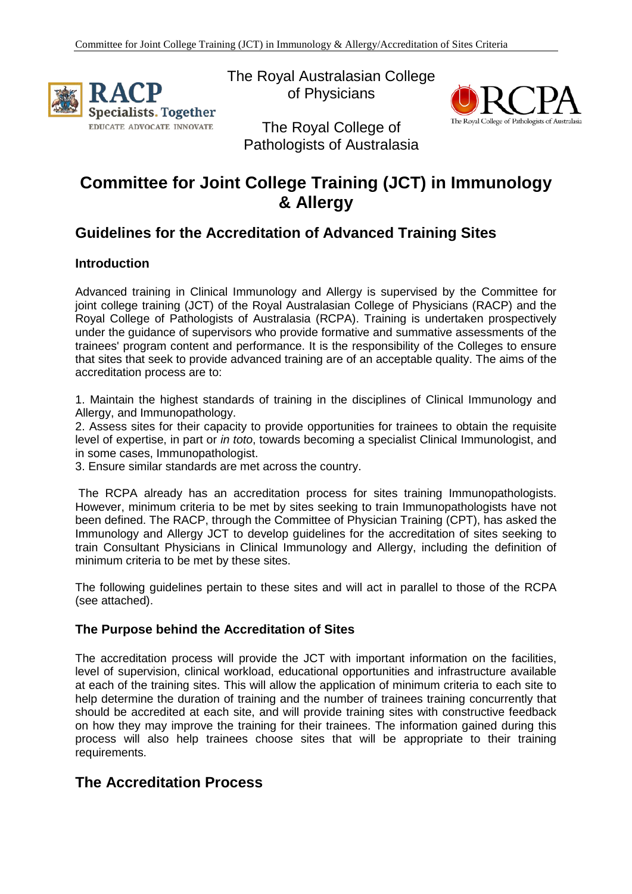

The Royal Australasian College of Physicians



The Royal College of Pathologists of Australasia

# **Committee for Joint College Training (JCT) in Immunology & Allergy**

# **Guidelines for the Accreditation of Advanced Training Sites**

### **Introduction**

Advanced training in Clinical Immunology and Allergy is supervised by the Committee for joint college training (JCT) of the Royal Australasian College of Physicians (RACP) and the Royal College of Pathologists of Australasia (RCPA). Training is undertaken prospectively under the guidance of supervisors who provide formative and summative assessments of the trainees' program content and performance. It is the responsibility of the Colleges to ensure that sites that seek to provide advanced training are of an acceptable quality. The aims of the accreditation process are to:

1. Maintain the highest standards of training in the disciplines of Clinical Immunology and Allergy, and Immunopathology.

2. Assess sites for their capacity to provide opportunities for trainees to obtain the requisite level of expertise, in part or *in toto*, towards becoming a specialist Clinical Immunologist, and in some cases, Immunopathologist.

3. Ensure similar standards are met across the country.

The RCPA already has an accreditation process for sites training Immunopathologists. However, minimum criteria to be met by sites seeking to train Immunopathologists have not been defined. The RACP, through the Committee of Physician Training (CPT), has asked the Immunology and Allergy JCT to develop guidelines for the accreditation of sites seeking to train Consultant Physicians in Clinical Immunology and Allergy, including the definition of minimum criteria to be met by these sites.

The following guidelines pertain to these sites and will act in parallel to those of the RCPA (see attached).

### **The Purpose behind the Accreditation of Sites**

The accreditation process will provide the JCT with important information on the facilities, level of supervision, clinical workload, educational opportunities and infrastructure available at each of the training sites. This will allow the application of minimum criteria to each site to help determine the duration of training and the number of trainees training concurrently that should be accredited at each site, and will provide training sites with constructive feedback on how they may improve the training for their trainees. The information gained during this process will also help trainees choose sites that will be appropriate to their training requirements.

# **The Accreditation Process**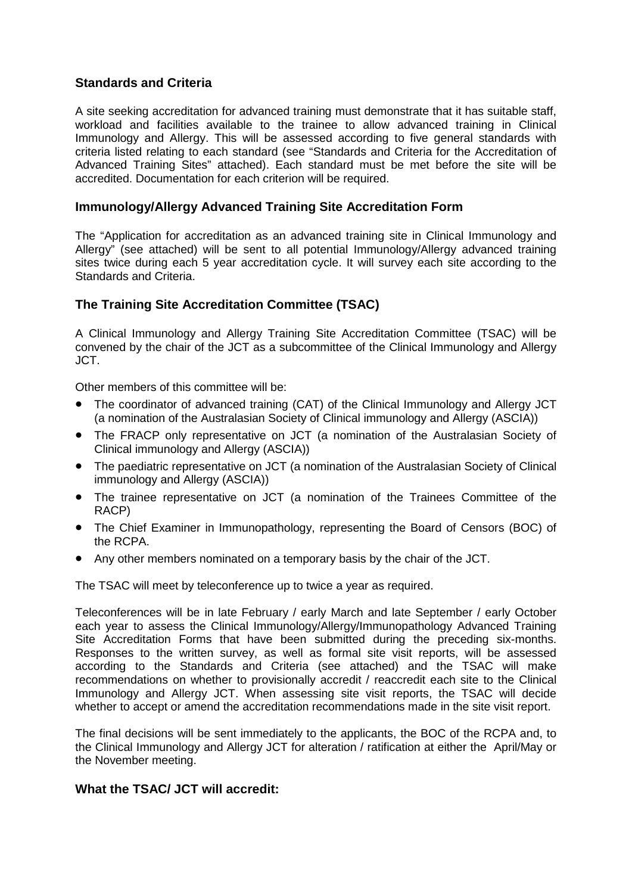### **Standards and Criteria**

A site seeking accreditation for advanced training must demonstrate that it has suitable staff, workload and facilities available to the trainee to allow advanced training in Clinical Immunology and Allergy. This will be assessed according to five general standards with criteria listed relating to each standard (see "Standards and Criteria for the Accreditation of Advanced Training Sites" attached). Each standard must be met before the site will be accredited. Documentation for each criterion will be required.

### **Immunology/Allergy Advanced Training Site Accreditation Form**

The "Application for accreditation as an advanced training site in Clinical Immunology and Allergy" (see attached) will be sent to all potential Immunology/Allergy advanced training sites twice during each 5 year accreditation cycle. It will survey each site according to the Standards and Criteria.

### **The Training Site Accreditation Committee (TSAC)**

A Clinical Immunology and Allergy Training Site Accreditation Committee (TSAC) will be convened by the chair of the JCT as a subcommittee of the Clinical Immunology and Allergy JCT.

Other members of this committee will be:

- The coordinator of advanced training (CAT) of the Clinical Immunology and Allergy JCT (a nomination of the Australasian Society of Clinical immunology and Allergy (ASCIA))
- The FRACP only representative on JCT (a nomination of the Australasian Society of Clinical immunology and Allergy (ASCIA))
- The paediatric representative on JCT (a nomination of the Australasian Society of Clinical immunology and Allergy (ASCIA))
- The trainee representative on JCT (a nomination of the Trainees Committee of the RACP)
- The Chief Examiner in Immunopathology, representing the Board of Censors (BOC) of the RCPA.
- Any other members nominated on a temporary basis by the chair of the JCT.

The TSAC will meet by teleconference up to twice a year as required.

Teleconferences will be in late February / early March and late September / early October each year to assess the Clinical Immunology/Allergy/Immunopathology Advanced Training Site Accreditation Forms that have been submitted during the preceding six-months. Responses to the written survey, as well as formal site visit reports, will be assessed according to the Standards and Criteria (see attached) and the TSAC will make recommendations on whether to provisionally accredit / reaccredit each site to the Clinical Immunology and Allergy JCT. When assessing site visit reports, the TSAC will decide whether to accept or amend the accreditation recommendations made in the site visit report.

The final decisions will be sent immediately to the applicants, the BOC of the RCPA and, to the Clinical Immunology and Allergy JCT for alteration / ratification at either the April/May or the November meeting.

### **What the TSAC/ JCT will accredit:**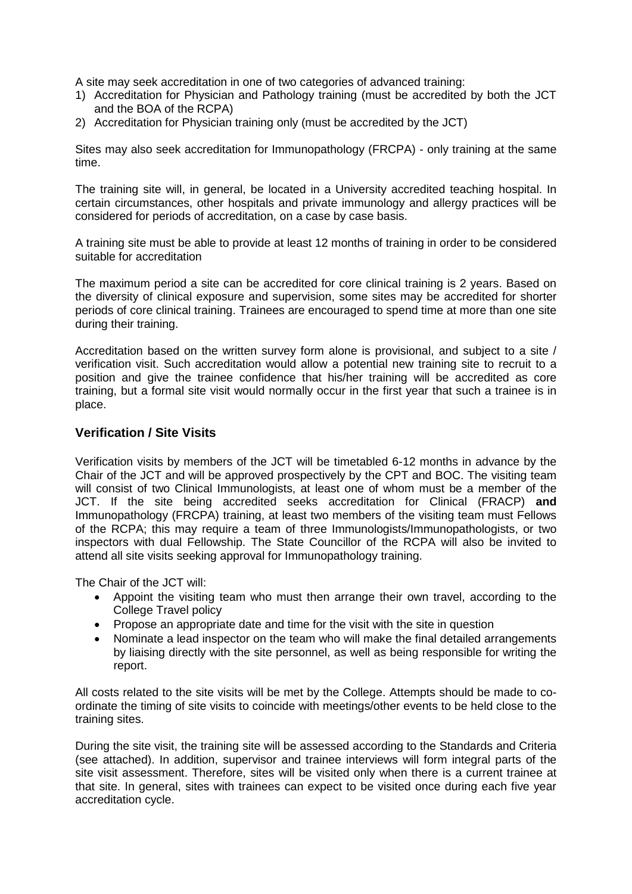A site may seek accreditation in one of two categories of advanced training:

- 1) Accreditation for Physician and Pathology training (must be accredited by both the JCT and the BOA of the RCPA)
- 2) Accreditation for Physician training only (must be accredited by the JCT)

Sites may also seek accreditation for Immunopathology (FRCPA) - only training at the same time.

The training site will, in general, be located in a University accredited teaching hospital. In certain circumstances, other hospitals and private immunology and allergy practices will be considered for periods of accreditation, on a case by case basis.

A training site must be able to provide at least 12 months of training in order to be considered suitable for accreditation

The maximum period a site can be accredited for core clinical training is 2 years. Based on the diversity of clinical exposure and supervision, some sites may be accredited for shorter periods of core clinical training. Trainees are encouraged to spend time at more than one site during their training.

Accreditation based on the written survey form alone is provisional, and subject to a site / verification visit. Such accreditation would allow a potential new training site to recruit to a position and give the trainee confidence that his/her training will be accredited as core training, but a formal site visit would normally occur in the first year that such a trainee is in place.

#### **Verification / Site Visits**

Verification visits by members of the JCT will be timetabled 6-12 months in advance by the Chair of the JCT and will be approved prospectively by the CPT and BOC. The visiting team will consist of two Clinical Immunologists, at least one of whom must be a member of the JCT. If the site being accredited seeks accreditation for Clinical (FRACP) **and** Immunopathology (FRCPA) training, at least two members of the visiting team must Fellows of the RCPA; this may require a team of three Immunologists/Immunopathologists, or two inspectors with dual Fellowship. The State Councillor of the RCPA will also be invited to attend all site visits seeking approval for Immunopathology training.

The Chair of the JCT will:

- Appoint the visiting team who must then arrange their own travel, according to the College Travel policy
- Propose an appropriate date and time for the visit with the site in question
- Nominate a lead inspector on the team who will make the final detailed arrangements by liaising directly with the site personnel, as well as being responsible for writing the report.

All costs related to the site visits will be met by the College. Attempts should be made to coordinate the timing of site visits to coincide with meetings/other events to be held close to the training sites.

During the site visit, the training site will be assessed according to the Standards and Criteria (see attached). In addition, supervisor and trainee interviews will form integral parts of the site visit assessment. Therefore, sites will be visited only when there is a current trainee at that site. In general, sites with trainees can expect to be visited once during each five year accreditation cycle.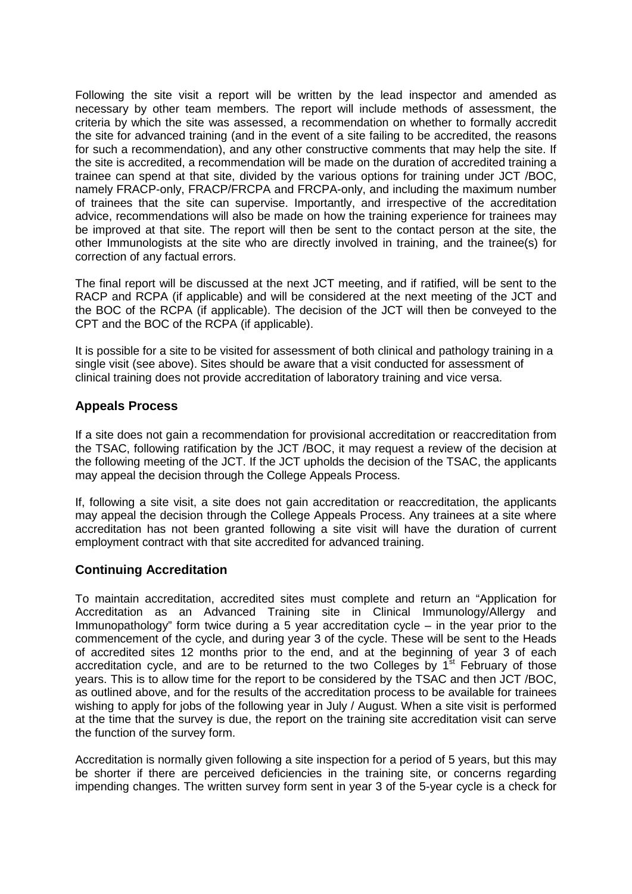Following the site visit a report will be written by the lead inspector and amended as necessary by other team members. The report will include methods of assessment, the criteria by which the site was assessed, a recommendation on whether to formally accredit the site for advanced training (and in the event of a site failing to be accredited, the reasons for such a recommendation), and any other constructive comments that may help the site. If the site is accredited, a recommendation will be made on the duration of accredited training a trainee can spend at that site, divided by the various options for training under JCT /BOC, namely FRACP-only, FRACP/FRCPA and FRCPA-only, and including the maximum number of trainees that the site can supervise. Importantly, and irrespective of the accreditation advice, recommendations will also be made on how the training experience for trainees may be improved at that site. The report will then be sent to the contact person at the site, the other Immunologists at the site who are directly involved in training, and the trainee(s) for correction of any factual errors.

The final report will be discussed at the next JCT meeting, and if ratified, will be sent to the RACP and RCPA (if applicable) and will be considered at the next meeting of the JCT and the BOC of the RCPA (if applicable). The decision of the JCT will then be conveyed to the CPT and the BOC of the RCPA (if applicable).

It is possible for a site to be visited for assessment of both clinical and pathology training in a single visit (see above). Sites should be aware that a visit conducted for assessment of clinical training does not provide accreditation of laboratory training and vice versa.

#### **Appeals Process**

If a site does not gain a recommendation for provisional accreditation or reaccreditation from the TSAC, following ratification by the JCT /BOC, it may request a review of the decision at the following meeting of the JCT. If the JCT upholds the decision of the TSAC, the applicants may appeal the decision through the College Appeals Process.

If, following a site visit, a site does not gain accreditation or reaccreditation, the applicants may appeal the decision through the College Appeals Process. Any trainees at a site where accreditation has not been granted following a site visit will have the duration of current employment contract with that site accredited for advanced training.

#### **Continuing Accreditation**

To maintain accreditation, accredited sites must complete and return an "Application for Accreditation as an Advanced Training site in Clinical Immunology/Allergy and Immunopathology" form twice during a 5 year accreditation cycle – in the year prior to the commencement of the cycle, and during year 3 of the cycle. These will be sent to the Heads of accredited sites 12 months prior to the end, and at the beginning of year 3 of each accreditation cycle, and are to be returned to the two Colleges by  $1<sup>st</sup>$  February of those years. This is to allow time for the report to be considered by the TSAC and then JCT /BOC, as outlined above, and for the results of the accreditation process to be available for trainees wishing to apply for jobs of the following year in July / August. When a site visit is performed at the time that the survey is due, the report on the training site accreditation visit can serve the function of the survey form.

Accreditation is normally given following a site inspection for a period of 5 years, but this may be shorter if there are perceived deficiencies in the training site, or concerns regarding impending changes. The written survey form sent in year 3 of the 5-year cycle is a check for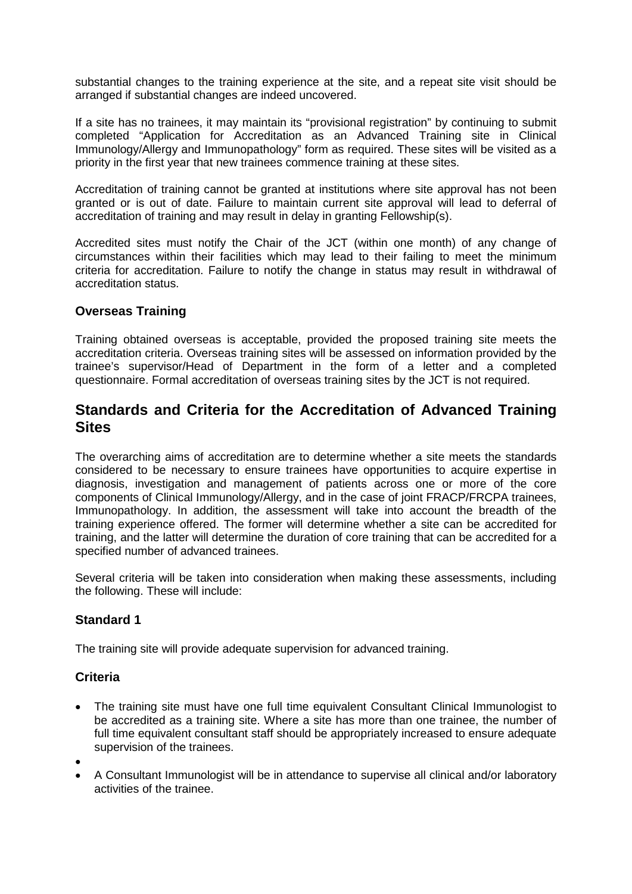substantial changes to the training experience at the site, and a repeat site visit should be arranged if substantial changes are indeed uncovered.

If a site has no trainees, it may maintain its "provisional registration" by continuing to submit completed "Application for Accreditation as an Advanced Training site in Clinical Immunology/Allergy and Immunopathology" form as required. These sites will be visited as a priority in the first year that new trainees commence training at these sites.

Accreditation of training cannot be granted at institutions where site approval has not been granted or is out of date. Failure to maintain current site approval will lead to deferral of accreditation of training and may result in delay in granting Fellowship(s).

Accredited sites must notify the Chair of the JCT (within one month) of any change of circumstances within their facilities which may lead to their failing to meet the minimum criteria for accreditation. Failure to notify the change in status may result in withdrawal of accreditation status.

### **Overseas Training**

Training obtained overseas is acceptable, provided the proposed training site meets the accreditation criteria. Overseas training sites will be assessed on information provided by the trainee's supervisor/Head of Department in the form of a letter and a completed questionnaire. Formal accreditation of overseas training sites by the JCT is not required.

# **Standards and Criteria for the Accreditation of Advanced Training Sites**

The overarching aims of accreditation are to determine whether a site meets the standards considered to be necessary to ensure trainees have opportunities to acquire expertise in diagnosis, investigation and management of patients across one or more of the core components of Clinical Immunology/Allergy, and in the case of joint FRACP/FRCPA trainees, Immunopathology. In addition, the assessment will take into account the breadth of the training experience offered. The former will determine whether a site can be accredited for training, and the latter will determine the duration of core training that can be accredited for a specified number of advanced trainees.

Several criteria will be taken into consideration when making these assessments, including the following. These will include:

### **Standard 1**

The training site will provide adequate supervision for advanced training.

### **Criteria**

- The training site must have one full time equivalent Consultant Clinical Immunologist to be accredited as a training site. Where a site has more than one trainee, the number of full time equivalent consultant staff should be appropriately increased to ensure adequate supervision of the trainees.
- •
- A Consultant Immunologist will be in attendance to supervise all clinical and/or laboratory activities of the trainee.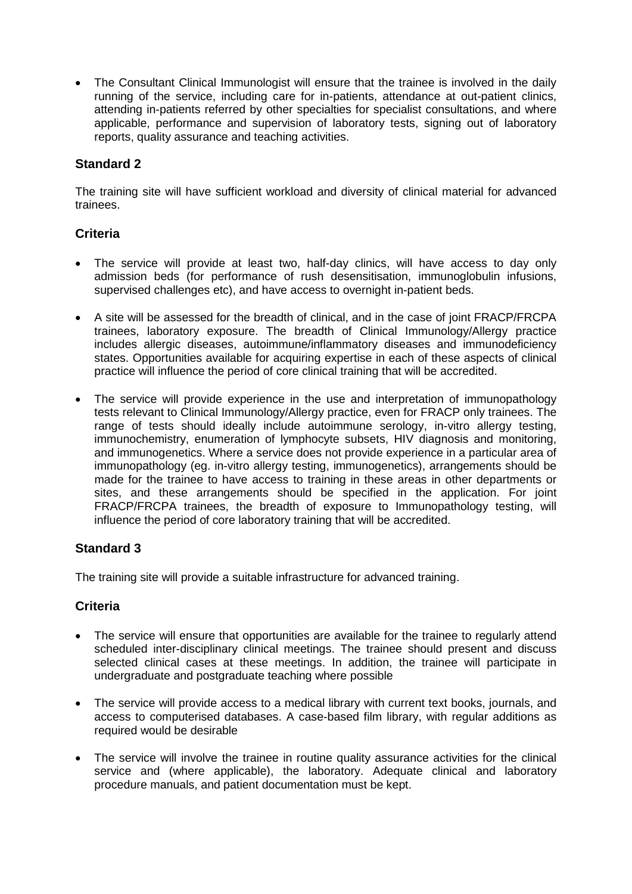• The Consultant Clinical Immunologist will ensure that the trainee is involved in the daily running of the service, including care for in-patients, attendance at out-patient clinics, attending in-patients referred by other specialties for specialist consultations, and where applicable, performance and supervision of laboratory tests, signing out of laboratory reports, quality assurance and teaching activities.

### **Standard 2**

The training site will have sufficient workload and diversity of clinical material for advanced trainees.

### **Criteria**

- The service will provide at least two, half-day clinics, will have access to day only admission beds (for performance of rush desensitisation, immunoglobulin infusions, supervised challenges etc), and have access to overnight in-patient beds.
- A site will be assessed for the breadth of clinical, and in the case of joint FRACP/FRCPA trainees, laboratory exposure. The breadth of Clinical Immunology/Allergy practice includes allergic diseases, autoimmune/inflammatory diseases and immunodeficiency states. Opportunities available for acquiring expertise in each of these aspects of clinical practice will influence the period of core clinical training that will be accredited.
- The service will provide experience in the use and interpretation of immunopathology tests relevant to Clinical Immunology/Allergy practice, even for FRACP only trainees. The range of tests should ideally include autoimmune serology, in-vitro allergy testing, immunochemistry, enumeration of lymphocyte subsets, HIV diagnosis and monitoring, and immunogenetics. Where a service does not provide experience in a particular area of immunopathology (eg. in-vitro allergy testing, immunogenetics), arrangements should be made for the trainee to have access to training in these areas in other departments or sites, and these arrangements should be specified in the application. For joint FRACP/FRCPA trainees, the breadth of exposure to Immunopathology testing, will influence the period of core laboratory training that will be accredited.

### **Standard 3**

The training site will provide a suitable infrastructure for advanced training.

### **Criteria**

- The service will ensure that opportunities are available for the trainee to regularly attend scheduled inter-disciplinary clinical meetings. The trainee should present and discuss selected clinical cases at these meetings. In addition, the trainee will participate in undergraduate and postgraduate teaching where possible
- The service will provide access to a medical library with current text books, journals, and access to computerised databases. A case-based film library, with regular additions as required would be desirable
- The service will involve the trainee in routine quality assurance activities for the clinical service and (where applicable), the laboratory. Adequate clinical and laboratory procedure manuals, and patient documentation must be kept.